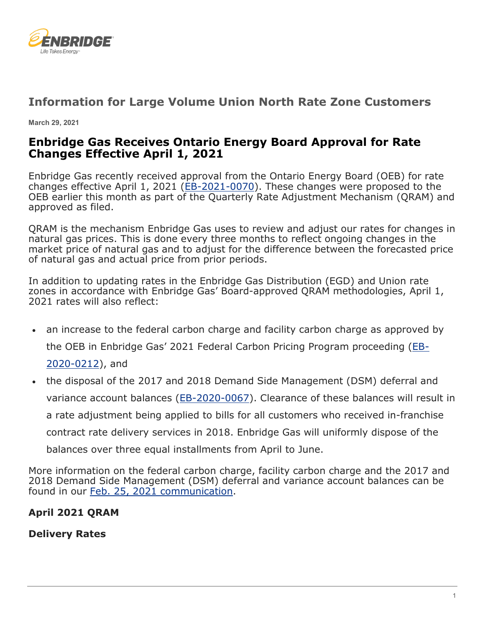

# **Information for Large Volume Union North Rate Zone Customers**

**March 29, 2021**

# **Enbridge Gas Receives Ontario Energy Board Approval for Rate Changes Effective April 1, 2021**

Enbridge Gas recently received approval from the Ontario Energy Board (OEB) for rate changes effective April 1, 2021 [\(EB-2021-0070\)](https://www.enbridgegas.com/Regulatory-Proceedings). These changes were proposed to the OEB earlier this month as part of the Quarterly Rate Adjustment Mechanism (QRAM) and approved as filed.

QRAM is the mechanism Enbridge Gas uses to review and adjust our rates for changes in natural gas prices. This is done every three months to reflect ongoing changes in the market price of natural gas and to adjust for the difference between the forecasted price of natural gas and actual price from prior periods.

In addition to updating rates in the Enbridge Gas Distribution (EGD) and Union rate zones in accordance with Enbridge Gas' Board-approved QRAM methodologies, April 1, 2021 rates will also reflect:

• an increase to the federal carbon charge and facility carbon charge as approved by the OEB in Enbridge Gas' 2021 Federal Carbon Pricing Program proceeding [\(EB-](https://www.enbridgegas.com/Regulatory-Proceedings)

[2020-0212\)](https://www.enbridgegas.com/Regulatory-Proceedings), and

• the disposal of the 2017 and 2018 Demand Side Management (DSM) deferral and variance account balances [\(EB-2020-0067\)](https://www.enbridgegas.com/Regulatory-Proceedings). Clearance of these balances will result in a rate adjustment being applied to bills for all customers who received in-franchise contract rate delivery services in 2018. Enbridge Gas will uniformly dispose of the balances over three equal installments from April to June.

More information on the federal carbon charge, facility carbon charge and the 2017 and 2018 Demand Side Management (DSM) deferral and variance account balances can be found in our [Feb. 25, 2021 communication.](https://www.uniongas.com/business/communication-centre/newsletter/enerline/2021/february-25-2021-north)

# **April 2021 QRAM**

**Delivery Rates**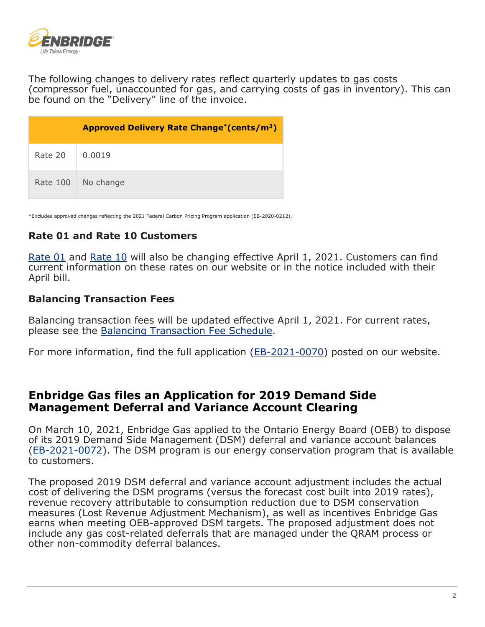

The following changes to delivery rates reflect quarterly updates to gas costs (compressor fuel, unaccounted for gas, and carrying costs of gas in inventory). This can be found on the "Delivery" line of the invoice.

|          | Approved Delivery Rate Change <sup>*</sup> (cents/m <sup>3</sup> ) |
|----------|--------------------------------------------------------------------|
| Rate 20  | 0.0019                                                             |
| Rate 100 | No change                                                          |

\*Excludes approved changes reflecting the 2021 Federal Carbon Pricing Program application (EB-2020-0212).

### **Rate 01 and Rate 10 Customers**

[Rate 01](https://www.uniongas.com/residential/rates/current-rates) and [Rate 10](https://www.uniongas.com/business/account-services/myaccount/rates) will also be changing effective April 1, 2021. Customers can find current information on these rates on our website or in the notice included with their April bill.

#### **Balancing Transaction Fees**

Balancing transaction fees will be updated effective April 1, 2021. For current rates, please see the [Balancing Transaction Fee Schedule.](https://www.uniongas.com/-/media/business/your-account-and-services/unionline/contractsrates/services/pdf/FeeSchedule.pdf?la=en&hash=AED6A2F254D321D530604D14A73FC365C58B10BA)

For more information, find the full application [\(EB-2021-0070\)](https://www.enbridgegas.com/Regulatory-Proceedings) posted on our website.

## **Enbridge Gas files an Application for 2019 Demand Side Management Deferral and Variance Account Clearing**

On March 10, 2021, Enbridge Gas applied to the Ontario Energy Board (OEB) to dispose of its 2019 Demand Side Management (DSM) deferral and variance account balances [\(EB-2021-0072\)](https://www.enbridgegas.com/Regulatory-Proceedings). The DSM program is our energy conservation program that is available to customers.

The proposed 2019 DSM deferral and variance account adjustment includes the actual cost of delivering the DSM programs (versus the forecast cost built into 2019 rates), revenue recovery attributable to consumption reduction due to DSM conservation measures (Lost Revenue Adjustment Mechanism), as well as incentives Enbridge Gas earns when meeting OEB-approved DSM targets. The proposed adjustment does not include any gas cost-related deferrals that are managed under the QRAM process or other non-commodity deferral balances.